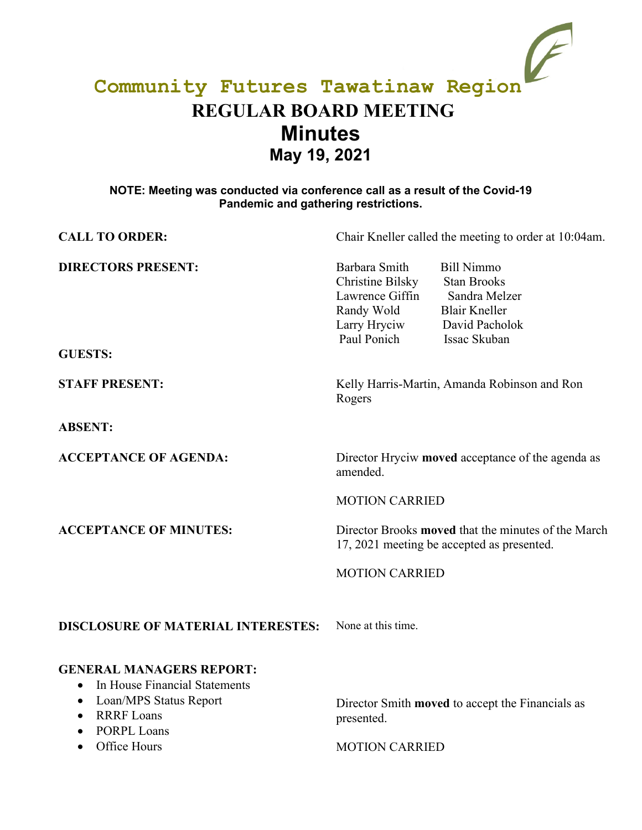# **Community Futures Tawatinaw Region REGULAR BOARD MEETING Minutes May 19, 2021**

### **NOTE: Meeting was conducted via conference call as a result of the Covid-19 Pandemic and gathering restrictions.**

| <b>CALL TO ORDER:</b>                                                                                                                                                                | Chair Kneller called the meeting to order at 10:04am.                                                                                                                                                                   |
|--------------------------------------------------------------------------------------------------------------------------------------------------------------------------------------|-------------------------------------------------------------------------------------------------------------------------------------------------------------------------------------------------------------------------|
| <b>DIRECTORS PRESENT:</b><br><b>GUESTS:</b>                                                                                                                                          | Barbara Smith<br><b>Bill Nimmo</b><br>Christine Bilsky<br><b>Stan Brooks</b><br>Lawrence Giffin<br>Sandra Melzer<br>Randy Wold<br><b>Blair Kneller</b><br>Larry Hryciw<br>David Pacholok<br>Paul Ponich<br>Issac Skuban |
| <b>STAFF PRESENT:</b>                                                                                                                                                                | Kelly Harris-Martin, Amanda Robinson and Ron<br>Rogers                                                                                                                                                                  |
| <b>ABSENT:</b>                                                                                                                                                                       |                                                                                                                                                                                                                         |
| <b>ACCEPTANCE OF AGENDA:</b>                                                                                                                                                         | Director Hryciw moved acceptance of the agenda as<br>amended.                                                                                                                                                           |
|                                                                                                                                                                                      | <b>MOTION CARRIED</b>                                                                                                                                                                                                   |
| <b>ACCEPTANCE OF MINUTES:</b>                                                                                                                                                        | Director Brooks <b>moved</b> that the minutes of the March<br>17, 2021 meeting be accepted as presented.                                                                                                                |
|                                                                                                                                                                                      | <b>MOTION CARRIED</b>                                                                                                                                                                                                   |
| <b>DISCLOSURE OF MATERIAL INTERESTES:</b>                                                                                                                                            | None at this time.                                                                                                                                                                                                      |
| <b>GENERAL MANAGERS REPORT:</b><br>In House Financial Statements<br>$\bullet$<br>Loan/MPS Status Report<br>٠<br><b>RRRF</b> Loans<br>$\bullet$<br><b>PORPL Loans</b><br>Office Hours | Director Smith moved to accept the Financials as<br>presented.<br><b>MOTION CARRIED</b>                                                                                                                                 |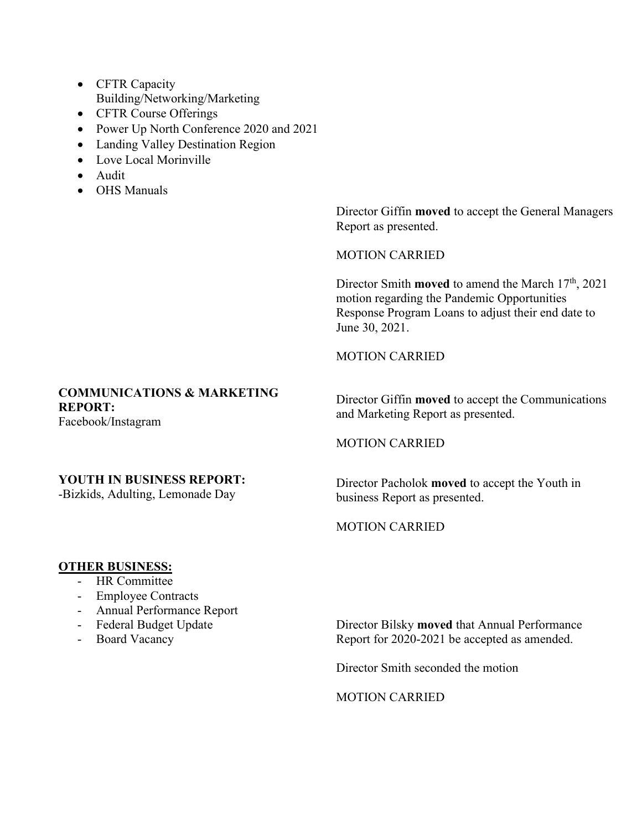- CFTR Capacity Building/Networking/Marketing
- CFTR Course Offerings
- Power Up North Conference 2020 and 2021
- Landing Valley Destination Region
- Love Local Morinville
- Audit
- OHS Manuals

Director Giffin **moved** to accept the General Managers Report as presented.

MOTION CARRIED

Director Smith **moved** to amend the March 17<sup>th</sup>, 2021 motion regarding the Pandemic Opportunities Response Program Loans to adjust their end date to June 30, 2021.

#### MOTION CARRIED

## **COMMUNICATIONS & MARKETING REPORT:**

Facebook/Instagram

## **YOUTH IN BUSINESS REPORT:**

-Bizkids, Adulting, Lemonade Day

Director Giffin **moved** to accept the Communications and Marketing Report as presented.

#### MOTION CARRIED

Director Pacholok **moved** to accept the Youth in business Report as presented.

#### MOTION CARRIED

#### **OTHER BUSINESS:**

- HR Committee
- Employee Contracts
- Annual Performance Report
- Federal Budget Update
- Board Vacancy

Director Bilsky **moved** that Annual Performance Report for 2020-2021 be accepted as amended.

Director Smith seconded the motion

MOTION CARRIED